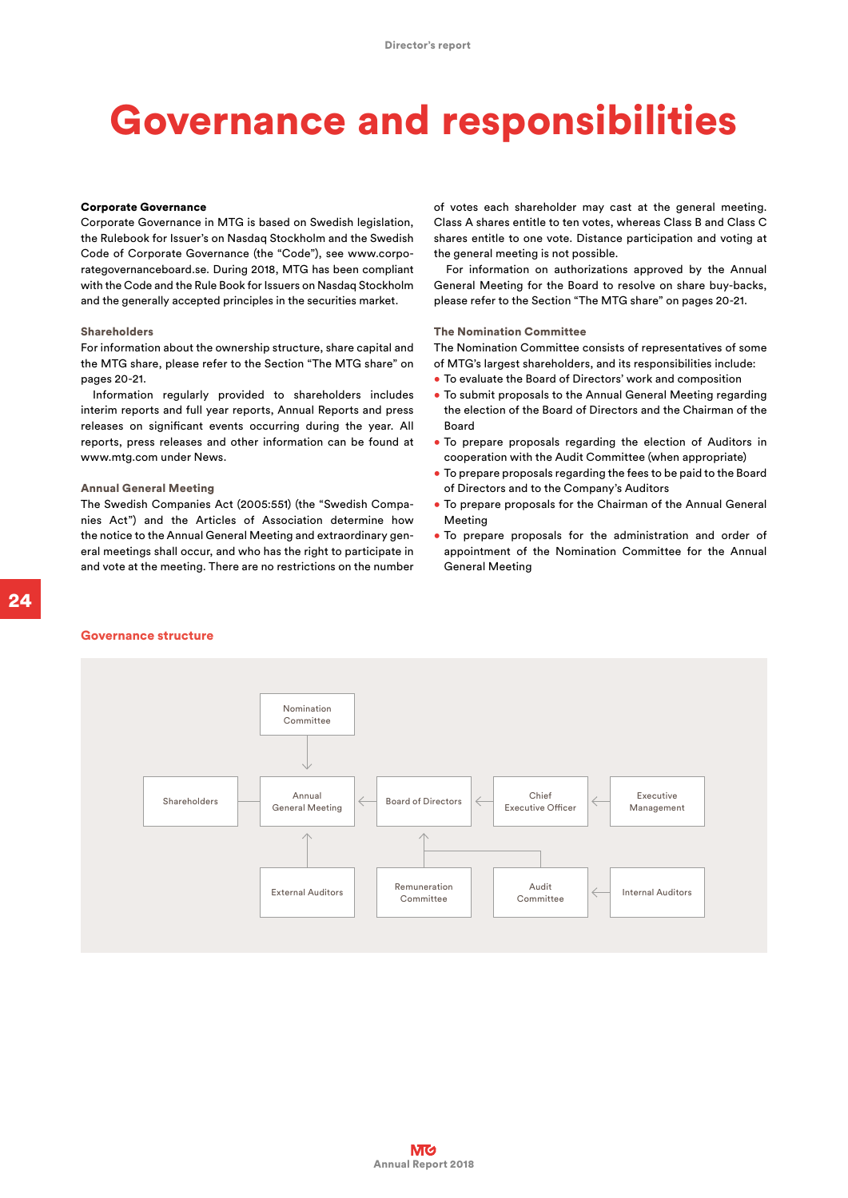# Governance and responsibilities

## Corporate Governance

Corporate Governance in MTG is based on Swedish legislation, the Rulebook for Issuer's on Nasdaq Stockholm and the Swedish Code of Corporate Governance (the "Code"), see www.corporategovernanceboard.se. During 2018, MTG has been compliant with the Code and the Rule Book for Issuers on Nasdaq Stockholm and the generally accepted principles in the securities market.

#### Shareholders

For information about the ownership structure, share capital and the MTG share, please refer to the Section "The MTG share" on pages 20-21.

Information regularly provided to shareholders includes interim reports and full year reports, Annual Reports and press releases on significant events occurring during the year. All reports, press releases and other information can be found at www.mtg.com under News.

#### Annual General Meeting

The Swedish Companies Act (2005:551) (the "Swedish Companies Act") and the Articles of Association determine how the notice to the Annual General Meeting and extraordinary general meetings shall occur, and who has the right to participate in and vote at the meeting. There are no restrictions on the number of votes each shareholder may cast at the general meeting. Class A shares entitle to ten votes, whereas Class B and Class C shares entitle to one vote. Distance participation and voting at the general meeting is not possible.

For information on authorizations approved by the Annual General Meeting for the Board to resolve on share buy-backs, please refer to the Section "The MTG share" on pages 20-21.

# The Nomination Committee

The Nomination Committee consists of representatives of some of MTG's largest shareholders, and its responsibilities include:

- To evaluate the Board of Directors' work and composition
- To submit proposals to the Annual General Meeting regarding the election of the Board of Directors and the Chairman of the Board
- To prepare proposals regarding the election of Auditors in cooperation with the Audit Committee (when appropriate)
- To prepare proposals regarding the fees to be paid to the Board of Directors and to the Company's Auditors
- To prepare proposals for the Chairman of the Annual General Meeting
- To prepare proposals for the administration and order of appointment of the Nomination Committee for the Annual General Meeting

# Governance structure

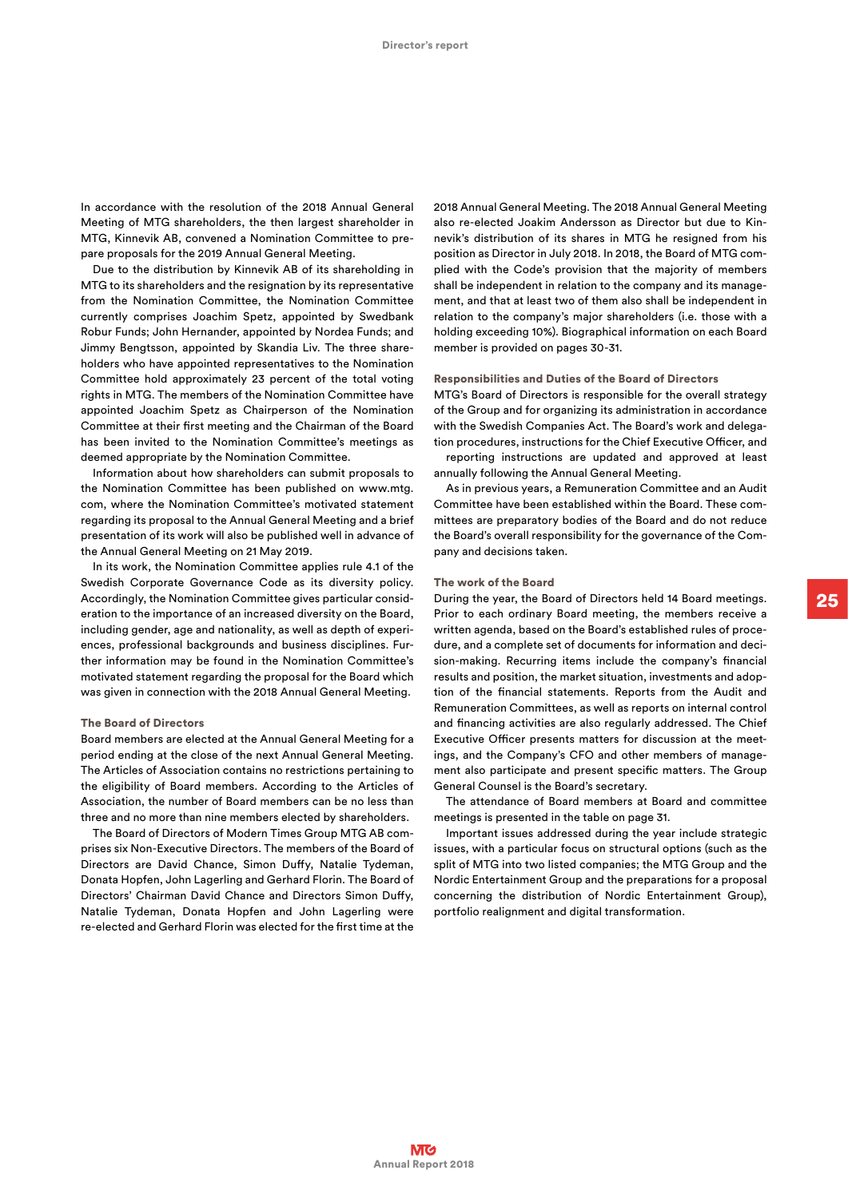In accordance with the resolution of the 2018 Annual General Meeting of MTG shareholders, the then largest shareholder in MTG, Kinnevik AB, convened a Nomination Committee to prepare proposals for the 2019 Annual General Meeting.

Due to the distribution by Kinnevik AB of its shareholding in MTG to its shareholders and the resignation by its representative from the Nomination Committee, the Nomination Committee currently comprises Joachim Spetz, appointed by Swedbank Robur Funds; John Hernander, appointed by Nordea Funds; and Jimmy Bengtsson, appointed by Skandia Liv. The three shareholders who have appointed representatives to the Nomination Committee hold approximately 23 percent of the total voting rights in MTG. The members of the Nomination Committee have appointed Joachim Spetz as Chairperson of the Nomination Committee at their first meeting and the Chairman of the Board has been invited to the Nomination Committee's meetings as deemed appropriate by the Nomination Committee.

Information about how shareholders can submit proposals to the Nomination Committee has been published on www.mtg. com, where the Nomination Committee's motivated statement regarding its proposal to the Annual General Meeting and a brief presentation of its work will also be published well in advance of the Annual General Meeting on 21 May 2019.

In its work, the Nomination Committee applies rule 4.1 of the Swedish Corporate Governance Code as its diversity policy. Accordingly, the Nomination Committee gives particular consideration to the importance of an increased diversity on the Board, including gender, age and nationality, as well as depth of experiences, professional backgrounds and business disciplines. Further information may be found in the Nomination Committee's motivated statement regarding the proposal for the Board which was given in connection with the 2018 Annual General Meeting.

# The Board of Directors

Board members are elected at the Annual General Meeting for a period ending at the close of the next Annual General Meeting. The Articles of Association contains no restrictions pertaining to the eligibility of Board members. According to the Articles of Association, the number of Board members can be no less than three and no more than nine members elected by shareholders.

The Board of Directors of Modern Times Group MTG AB comprises six Non-Executive Directors. The members of the Board of Directors are David Chance, Simon Duffy, Natalie Tydeman, Donata Hopfen, John Lagerling and Gerhard Florin. The Board of Directors' Chairman David Chance and Directors Simon Duffy, Natalie Tydeman, Donata Hopfen and John Lagerling were re-elected and Gerhard Florin was elected for the first time at the 2018 Annual General Meeting. The 2018 Annual General Meeting also re-elected Joakim Andersson as Director but due to Kinnevik's distribution of its shares in MTG he resigned from his position as Director in July 2018. In 2018, the Board of MTG complied with the Code's provision that the majority of members shall be independent in relation to the company and its management, and that at least two of them also shall be independent in relation to the company's major shareholders (i.e. those with a holding exceeding 10%). Biographical information on each Board member is provided on pages 30-31.

# Responsibilities and Duties of the Board of Directors

MTG's Board of Directors is responsible for the overall strategy of the Group and for organizing its administration in accordance with the Swedish Companies Act. The Board's work and delegation procedures, instructions for the Chief Executive Officer, and

reporting instructions are updated and approved at least annually following the Annual General Meeting.

As in previous years, a Remuneration Committee and an Audit Committee have been established within the Board. These committees are preparatory bodies of the Board and do not reduce the Board's overall responsibility for the governance of the Company and decisions taken.

## The work of the Board

During the year, the Board of Directors held 14 Board meetings. Prior to each ordinary Board meeting, the members receive a written agenda, based on the Board's established rules of procedure, and a complete set of documents for information and decision-making. Recurring items include the company's financial results and position, the market situation, investments and adoption of the financial statements. Reports from the Audit and Remuneration Committees, as well as reports on internal control and financing activities are also regularly addressed. The Chief Executive Officer presents matters for discussion at the meetings, and the Company's CFO and other members of management also participate and present specific matters. The Group General Counsel is the Board's secretary.

The attendance of Board members at Board and committee meetings is presented in the table on page 31.

Important issues addressed during the year include strategic issues, with a particular focus on structural options (such as the split of MTG into two listed companies; the MTG Group and the Nordic Entertainment Group and the preparations for a proposal concerning the distribution of Nordic Entertainment Group), portfolio realignment and digital transformation.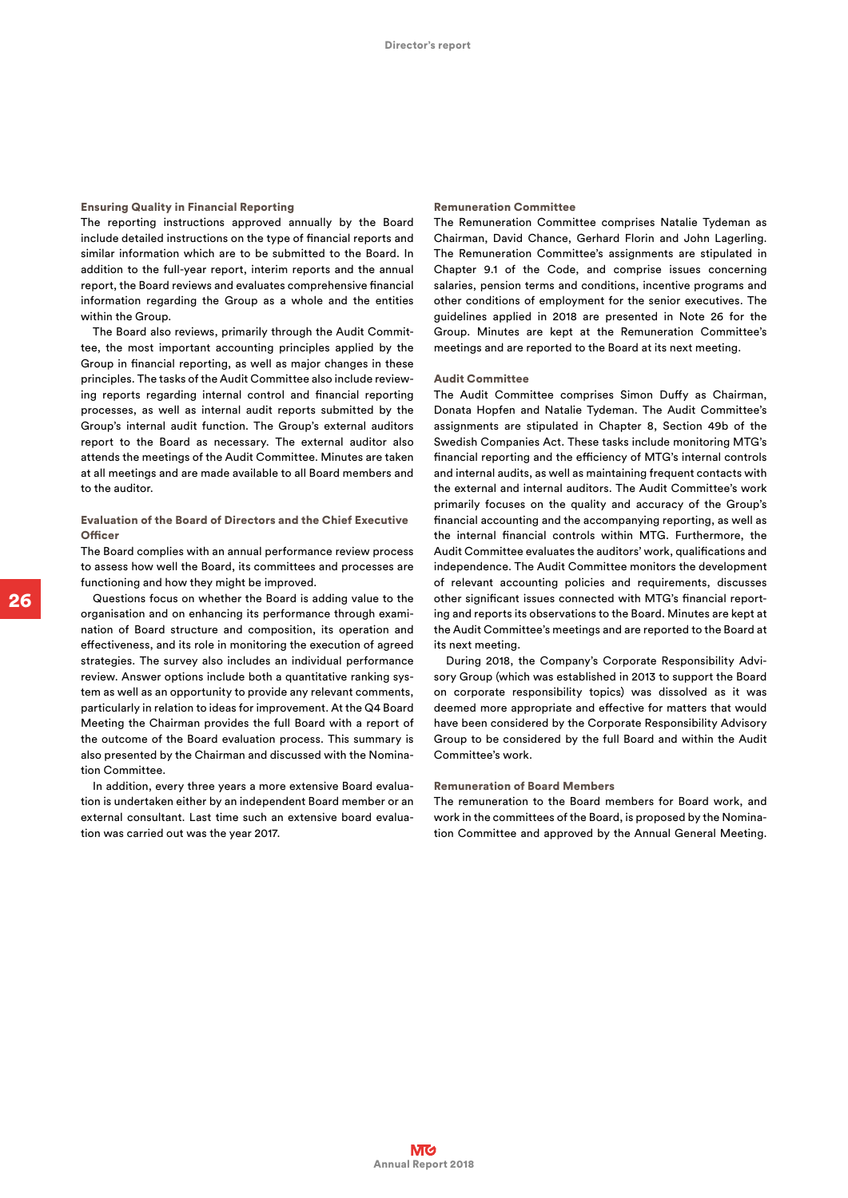#### Ensuring Quality in Financial Reporting

The reporting instructions approved annually by the Board include detailed instructions on the type of financial reports and similar information which are to be submitted to the Board. In addition to the full-year report, interim reports and the annual report, the Board reviews and evaluates comprehensive financial information regarding the Group as a whole and the entities within the Group.

The Board also reviews, primarily through the Audit Committee, the most important accounting principles applied by the Group in financial reporting, as well as major changes in these principles. The tasks of the Audit Committee also include reviewing reports regarding internal control and financial reporting processes, as well as internal audit reports submitted by the Group's internal audit function. The Group's external auditors report to the Board as necessary. The external auditor also attends the meetings of the Audit Committee. Minutes are taken at all meetings and are made available to all Board members and to the auditor.

# Evaluation of the Board of Directors and the Chief Executive **Officer**

The Board complies with an annual performance review process to assess how well the Board, its committees and processes are functioning and how they might be improved.

Questions focus on whether the Board is adding value to the organisation and on enhancing its performance through examination of Board structure and composition, its operation and effectiveness, and its role in monitoring the execution of agreed strategies. The survey also includes an individual performance review. Answer options include both a quantitative ranking system as well as an opportunity to provide any relevant comments, particularly in relation to ideas for improvement. At the Q4 Board Meeting the Chairman provides the full Board with a report of the outcome of the Board evaluation process. This summary is also presented by the Chairman and discussed with the Nomination Committee.

In addition, every three years a more extensive Board evaluation is undertaken either by an independent Board member or an external consultant. Last time such an extensive board evaluation was carried out was the year 2017.

#### Remuneration Committee

The Remuneration Committee comprises Natalie Tydeman as Chairman, David Chance, Gerhard Florin and John Lagerling. The Remuneration Committee's assignments are stipulated in Chapter 9.1 of the Code, and comprise issues concerning salaries, pension terms and conditions, incentive programs and other conditions of employment for the senior executives. The guidelines applied in 2018 are presented in Note 26 for the Group. Minutes are kept at the Remuneration Committee's meetings and are reported to the Board at its next meeting.

# Audit Committee

The Audit Committee comprises Simon Duffy as Chairman, Donata Hopfen and Natalie Tydeman. The Audit Committee's assignments are stipulated in Chapter 8, Section 49b of the Swedish Companies Act. These tasks include monitoring MTG's financial reporting and the efficiency of MTG's internal controls and internal audits, as well as maintaining frequent contacts with the external and internal auditors. The Audit Committee's work primarily focuses on the quality and accuracy of the Group's financial accounting and the accompanying reporting, as well as the internal financial controls within MTG. Furthermore, the Audit Committee evaluates the auditors' work, qualifications and independence. The Audit Committee monitors the development of relevant accounting policies and requirements, discusses other significant issues connected with MTG's financial reporting and reports its observations to the Board. Minutes are kept at the Audit Committee's meetings and are reported to the Board at its next meeting.

During 2018, the Company's Corporate Responsibility Advisory Group (which was established in 2013 to support the Board on corporate responsibility topics) was dissolved as it was deemed more appropriate and effective for matters that would have been considered by the Corporate Responsibility Advisory Group to be considered by the full Board and within the Audit Committee's work.

# Remuneration of Board Members

The remuneration to the Board members for Board work, and work in the committees of the Board, is proposed by the Nomination Committee and approved by the Annual General Meeting.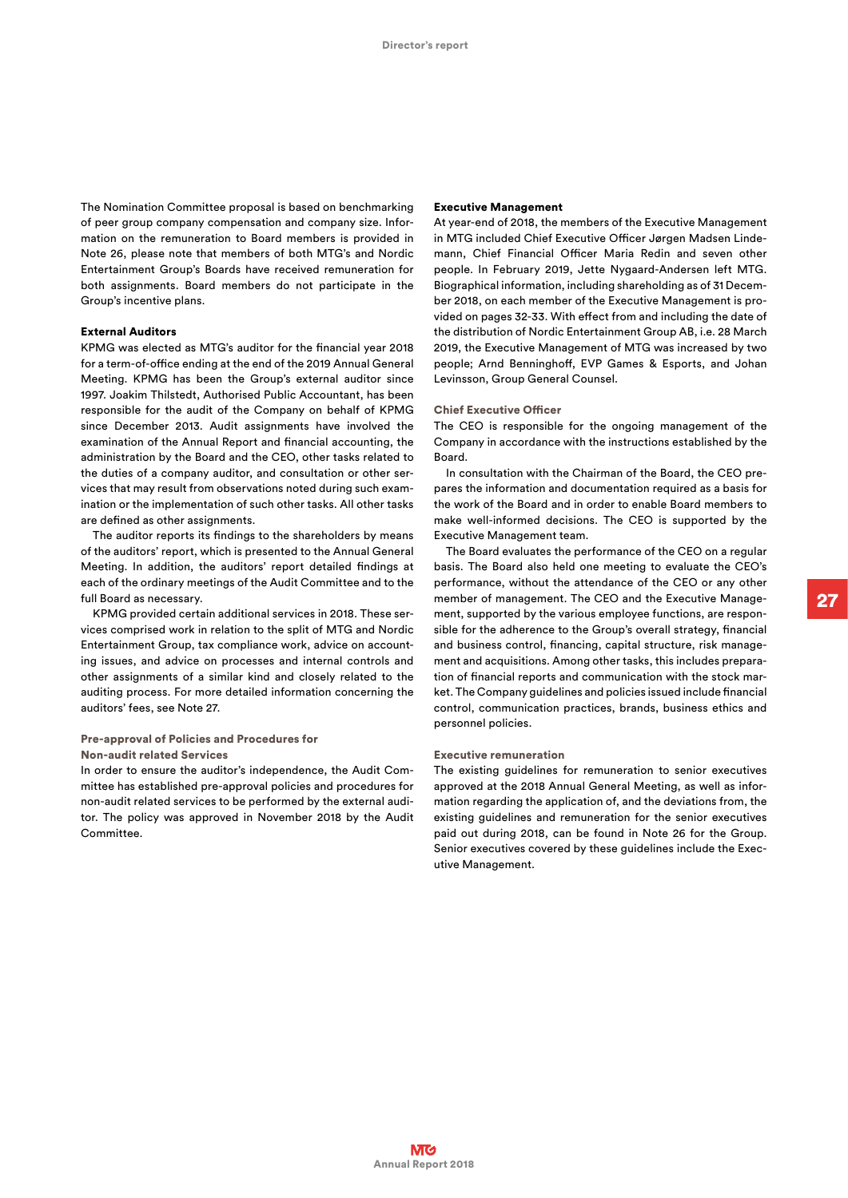The Nomination Committee proposal is based on benchmarking of peer group company compensation and company size. Information on the remuneration to Board members is provided in Note 26, please note that members of both MTG's and Nordic Entertainment Group's Boards have received remuneration for both assignments. Board members do not participate in the Group's incentive plans.

# External Auditors

KPMG was elected as MTG's auditor for the financial year 2018 for a term-of-office ending at the end of the 2019 Annual General Meeting. KPMG has been the Group's external auditor since 1997. Joakim Thilstedt, Authorised Public Accountant, has been responsible for the audit of the Company on behalf of KPMG since December 2013. Audit assignments have involved the examination of the Annual Report and financial accounting, the administration by the Board and the CEO, other tasks related to the duties of a company auditor, and consultation or other services that may result from observations noted during such examination or the implementation of such other tasks. All other tasks are defined as other assignments.

The auditor reports its findings to the shareholders by means of the auditors' report, which is presented to the Annual General Meeting. In addition, the auditors' report detailed findings at each of the ordinary meetings of the Audit Committee and to the full Board as necessary.

KPMG provided certain additional services in 2018. These services comprised work in relation to the split of MTG and Nordic Entertainment Group, tax compliance work, advice on accounting issues, and advice on processes and internal controls and other assignments of a similar kind and closely related to the auditing process. For more detailed information concerning the auditors' fees, see Note 27.

# Pre-approval of Policies and Procedures for

Non-audit related Services

In order to ensure the auditor's independence, the Audit Committee has established pre-approval policies and procedures for non-audit related services to be performed by the external auditor. The policy was approved in November 2018 by the Audit Committee.

#### Executive Management

At year-end of 2018, the members of the Executive Management in MTG included Chief Executive Officer Jørgen Madsen Lindemann, Chief Financial Officer Maria Redin and seven other people. In February 2019, Jette Nygaard-Andersen left MTG. Biographical information, including shareholding as of 31 December 2018, on each member of the Executive Management is provided on pages 32-33. With effect from and including the date of the distribution of Nordic Entertainment Group AB, i.e. 28 March 2019, the Executive Management of MTG was increased by two people; Arnd Benninghoff, EVP Games & Esports, and Johan Levinsson, Group General Counsel.

# Chief Executive Officer

The CEO is responsible for the ongoing management of the Company in accordance with the instructions established by the Board.

In consultation with the Chairman of the Board, the CEO prepares the information and documentation required as a basis for the work of the Board and in order to enable Board members to make well-informed decisions. The CEO is supported by the Executive Management team.

The Board evaluates the performance of the CEO on a regular basis. The Board also held one meeting to evaluate the CEO's performance, without the attendance of the CEO or any other member of management. The CEO and the Executive Management, supported by the various employee functions, are responsible for the adherence to the Group's overall strategy, financial and business control, financing, capital structure, risk management and acquisitions. Among other tasks, this includes preparation of financial reports and communication with the stock market. The Company guidelines and policies issued include financial control, communication practices, brands, business ethics and personnel policies.

# Executive remuneration

The existing guidelines for remuneration to senior executives approved at the 2018 Annual General Meeting, as well as information regarding the application of, and the deviations from, the existing guidelines and remuneration for the senior executives paid out during 2018, can be found in Note 26 for the Group. Senior executives covered by these guidelines include the Executive Management.